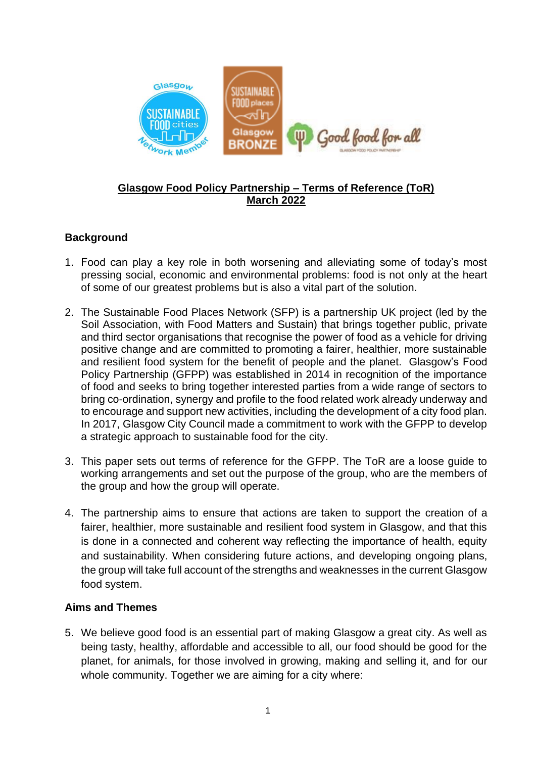

# **Glasgow Food Policy Partnership – Terms of Reference (ToR) March 2022**

# **Background**

- 1. Food can play a key role in both worsening and alleviating some of today's most pressing social, economic and environmental problems: food is not only at the heart of some of our greatest problems but is also a vital part of the solution.
- 2. The Sustainable Food Places Network (SFP) is a partnership UK project (led by the Soil Association, with Food Matters and Sustain) that brings together public, private and third sector organisations that recognise the power of food as a vehicle for driving positive change and are committed to promoting a fairer, healthier, more sustainable and resilient food system for the benefit of people and the planet. Glasgow's Food Policy Partnership (GFPP) was established in 2014 in recognition of the importance of food and seeks to bring together interested parties from a wide range of sectors to bring co-ordination, synergy and profile to the food related work already underway and to encourage and support new activities, including the development of a city food plan. In 2017, Glasgow City Council made a commitment to work with the GFPP to develop a strategic approach to sustainable food for the city.
- 3. This paper sets out terms of reference for the GFPP. The ToR are a loose guide to working arrangements and set out the purpose of the group, who are the members of the group and how the group will operate.
- 4. The partnership aims to ensure that actions are taken to support the creation of a fairer, healthier, more sustainable and resilient food system in Glasgow, and that this is done in a connected and coherent way reflecting the importance of health, equity and sustainability. When considering future actions, and developing ongoing plans, the group will take full account of the strengths and weaknesses in the current Glasgow food system.

### **Aims and Themes**

5. We believe good food is an essential part of making Glasgow a great city. As well as being tasty, healthy, affordable and accessible to all, our food should be good for the planet, for animals, for those involved in growing, making and selling it, and for our whole community. Together we are aiming for a city where: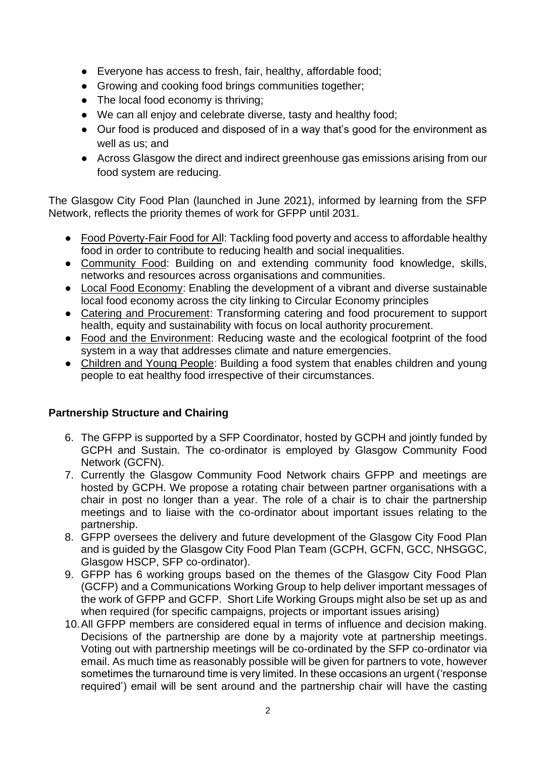- Everyone has access to fresh, fair, healthy, affordable food;
- Growing and cooking food brings communities together;
- The local food economy is thriving;
- We can all enjoy and celebrate diverse, tasty and healthy food;
- Our food is produced and disposed of in a way that's good for the environment as well as us; and
- Across Glasgow the direct and indirect greenhouse gas emissions arising from our food system are reducing.

The Glasgow City Food Plan (launched in June 2021), informed by learning from the SFP Network, reflects the priority themes of work for GFPP until 2031.

- Food Poverty-Fair Food for All: Tackling food poverty and access to affordable healthy food in order to contribute to reducing health and social inequalities.
- Community Food: Building on and extending community food knowledge, skills, networks and resources across organisations and communities.
- Local Food Economy: Enabling the development of a vibrant and diverse sustainable local food economy across the city linking to Circular Economy principles
- Catering and Procurement: Transforming catering and food procurement to support health, equity and sustainability with focus on local authority procurement.
- Food and the Environment: Reducing waste and the ecological footprint of the food system in a way that addresses climate and nature emergencies.
- Children and Young People: Building a food system that enables children and young people to eat healthy food irrespective of their circumstances.

### **Partnership Structure and Chairing**

- 6. The GFPP is supported by a SFP Coordinator, hosted by GCPH and jointly funded by GCPH and Sustain. The co-ordinator is employed by Glasgow Community Food Network (GCFN).
- 7. Currently the Glasgow Community Food Network chairs GFPP and meetings are hosted by GCPH. We propose a rotating chair between partner organisations with a chair in post no longer than a year. The role of a chair is to chair the partnership meetings and to liaise with the co-ordinator about important issues relating to the partnership.
- 8. GFPP oversees the delivery and future development of the Glasgow City Food Plan and is guided by the Glasgow City Food Plan Team (GCPH, GCFN, GCC, NHSGGC, Glasgow HSCP, SFP co-ordinator).
- 9. GFPP has 6 working groups based on the themes of the Glasgow City Food Plan (GCFP) and a Communications Working Group to help deliver important messages of the work of GFPP and GCFP. Short Life Working Groups might also be set up as and when required (for specific campaigns, projects or important issues arising)
- 10.All GFPP members are considered equal in terms of influence and decision making. Decisions of the partnership are done by a majority vote at partnership meetings. Voting out with partnership meetings will be co-ordinated by the SFP co-ordinator via email. As much time as reasonably possible will be given for partners to vote, however sometimes the turnaround time is very limited. In these occasions an urgent ('response required') email will be sent around and the partnership chair will have the casting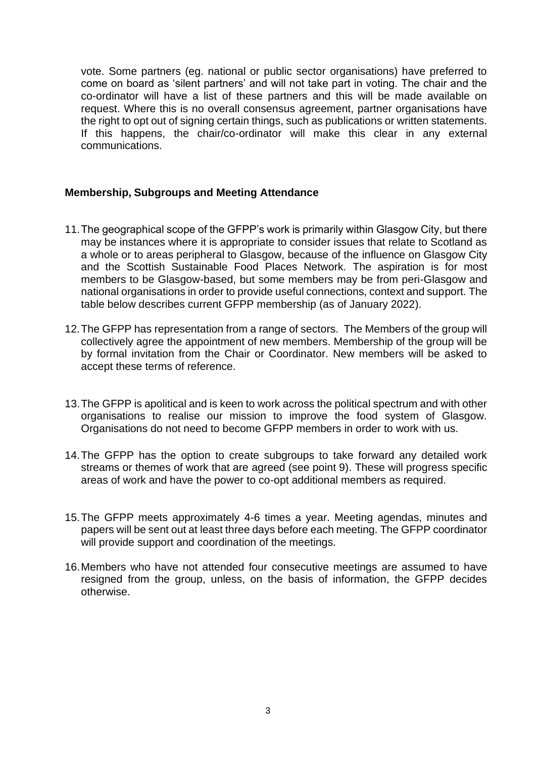vote. Some partners (eg. national or public sector organisations) have preferred to come on board as 'silent partners' and will not take part in voting. The chair and the co-ordinator will have a list of these partners and this will be made available on request. Where this is no overall consensus agreement, partner organisations have the right to opt out of signing certain things, such as publications or written statements. If this happens, the chair/co-ordinator will make this clear in any external communications.

#### **Membership, Subgroups and Meeting Attendance**

- 11.The geographical scope of the GFPP's work is primarily within Glasgow City, but there may be instances where it is appropriate to consider issues that relate to Scotland as a whole or to areas peripheral to Glasgow, because of the influence on Glasgow City and the Scottish Sustainable Food Places Network. The aspiration is for most members to be Glasgow-based, but some members may be from peri-Glasgow and national organisations in order to provide useful connections, context and support. The table below describes current GFPP membership (as of January 2022).
- 12.The GFPP has representation from a range of sectors. The Members of the group will collectively agree the appointment of new members. Membership of the group will be by formal invitation from the Chair or Coordinator. New members will be asked to accept these terms of reference.
- 13.The GFPP is apolitical and is keen to work across the political spectrum and with other organisations to realise our mission to improve the food system of Glasgow. Organisations do not need to become GFPP members in order to work with us.
- 14.The GFPP has the option to create subgroups to take forward any detailed work streams or themes of work that are agreed (see point 9). These will progress specific areas of work and have the power to co-opt additional members as required.
- 15.The GFPP meets approximately 4-6 times a year. Meeting agendas, minutes and papers will be sent out at least three days before each meeting. The GFPP coordinator will provide support and coordination of the meetings.
- 16.Members who have not attended four consecutive meetings are assumed to have resigned from the group, unless, on the basis of information, the GFPP decides otherwise.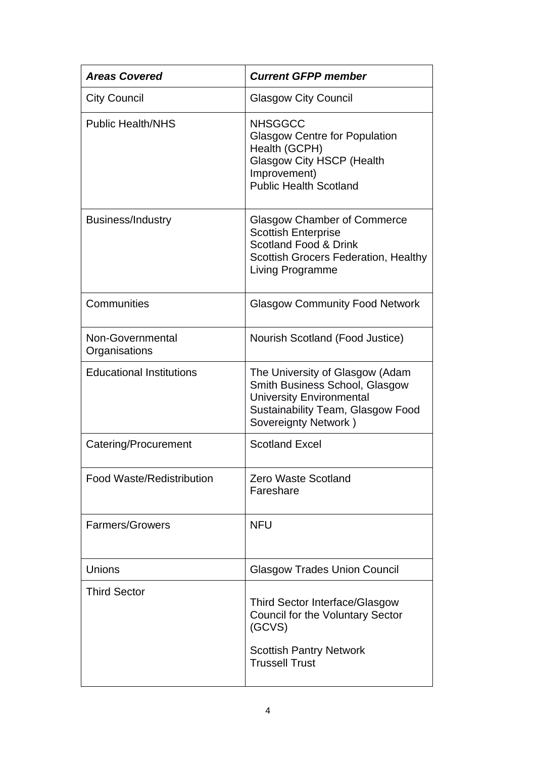| <b>Areas Covered</b>              | <b>Current GFPP member</b>                                                                                                                                          |
|-----------------------------------|---------------------------------------------------------------------------------------------------------------------------------------------------------------------|
| <b>City Council</b>               | <b>Glasgow City Council</b>                                                                                                                                         |
| <b>Public Health/NHS</b>          | <b>NHSGGCC</b><br><b>Glasgow Centre for Population</b><br>Health (GCPH)<br><b>Glasgow City HSCP (Health</b><br>Improvement)<br><b>Public Health Scotland</b>        |
| <b>Business/Industry</b>          | <b>Glasgow Chamber of Commerce</b><br><b>Scottish Enterprise</b><br>Scotland Food & Drink<br><b>Scottish Grocers Federation, Healthy</b><br><b>Living Programme</b> |
| Communities                       | <b>Glasgow Community Food Network</b>                                                                                                                               |
| Non-Governmental<br>Organisations | Nourish Scotland (Food Justice)                                                                                                                                     |
| <b>Educational Institutions</b>   | The University of Glasgow (Adam<br>Smith Business School, Glasgow<br><b>University Environmental</b><br>Sustainability Team, Glasgow Food<br>Sovereignty Network)   |
| Catering/Procurement              | <b>Scotland Excel</b>                                                                                                                                               |
| <b>Food Waste/Redistribution</b>  | <b>Zero Waste Scotland</b><br>Fareshare                                                                                                                             |
| Farmers/Growers                   | <b>NFU</b>                                                                                                                                                          |
| Unions                            | <b>Glasgow Trades Union Council</b>                                                                                                                                 |
| <b>Third Sector</b>               | Third Sector Interface/Glasgow<br>Council for the Voluntary Sector<br>(GCVS)<br><b>Scottish Pantry Network</b><br><b>Trussell Trust</b>                             |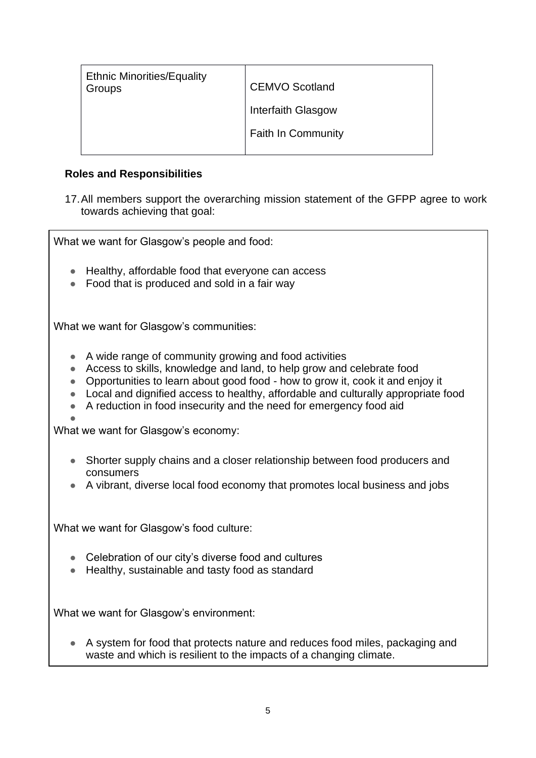| <b>Ethnic Minorities/Equality</b> | <b>CEMVO Scotland</b>     |
|-----------------------------------|---------------------------|
| Groups                            | Interfaith Glasgow        |
|                                   | <b>Faith In Community</b> |

### **Roles and Responsibilities**

17.All members support the overarching mission statement of the GFPP agree to work towards achieving that goal:

What we want for Glasgow's people and food:

- Healthy, affordable food that everyone can access
- Food that is produced and sold in a fair way

What we want for Glasgow's communities:

- A wide range of community growing and food activities
- Access to skills, knowledge and land, to help grow and celebrate food
- Opportunities to learn about good food how to grow it, cook it and enjoy it
- Local and dignified access to healthy, affordable and culturally appropriate food
- A reduction in food insecurity and the need for emergency food aid
- ●

What we want for Glasgow's economy:

- Shorter supply chains and a closer relationship between food producers and consumers
- A vibrant, diverse local food economy that promotes local business and jobs

What we want for Glasgow's food culture:

- Celebration of our city's diverse food and cultures
- Healthy, sustainable and tasty food as standard

What we want for Glasgow's environment:

● A system for food that protects nature and reduces food miles, packaging and waste and which is resilient to the impacts of a changing climate.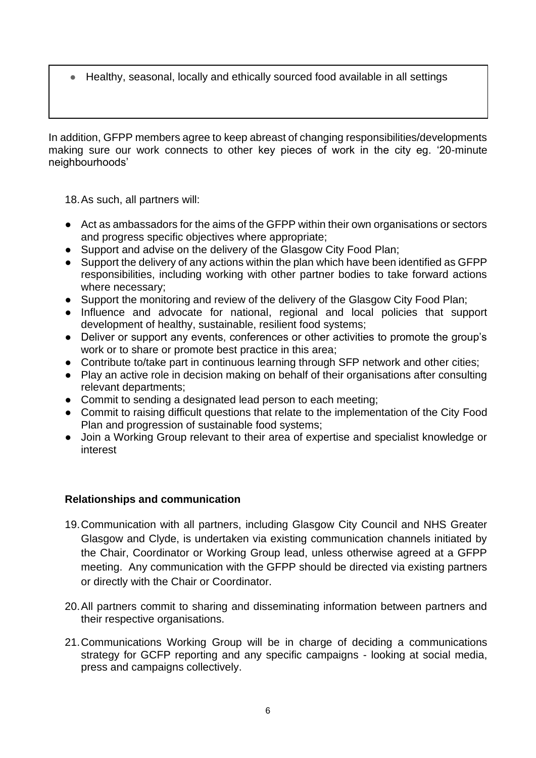Healthy, seasonal, locally and ethically sourced food available in all settings

In addition, GFPP members agree to keep abreast of changing responsibilities/developments making sure our work connects to other key pieces of work in the city eg. '20-minute neighbourhoods'

18.As such, all partners will:

- Act as ambassadors for the aims of the GFPP within their own organisations or sectors and progress specific objectives where appropriate;
- Support and advise on the delivery of the Glasgow City Food Plan:
- Support the delivery of any actions within the plan which have been identified as GFPP responsibilities, including working with other partner bodies to take forward actions where necessary;
- Support the monitoring and review of the delivery of the Glasgow City Food Plan;
- Influence and advocate for national, regional and local policies that support development of healthy, sustainable, resilient food systems;
- Deliver or support any events, conferences or other activities to promote the group's work or to share or promote best practice in this area;
- Contribute to/take part in continuous learning through SFP network and other cities;
- Play an active role in decision making on behalf of their organisations after consulting relevant departments;
- Commit to sending a designated lead person to each meeting;
- Commit to raising difficult questions that relate to the implementation of the City Food Plan and progression of sustainable food systems;
- Join a Working Group relevant to their area of expertise and specialist knowledge or interest

### **Relationships and communication**

- 19.Communication with all partners, including Glasgow City Council and NHS Greater Glasgow and Clyde, is undertaken via existing communication channels initiated by the Chair, Coordinator or Working Group lead, unless otherwise agreed at a GFPP meeting. Any communication with the GFPP should be directed via existing partners or directly with the Chair or Coordinator.
- 20.All partners commit to sharing and disseminating information between partners and their respective organisations.
- 21.Communications Working Group will be in charge of deciding a communications strategy for GCFP reporting and any specific campaigns - looking at social media, press and campaigns collectively.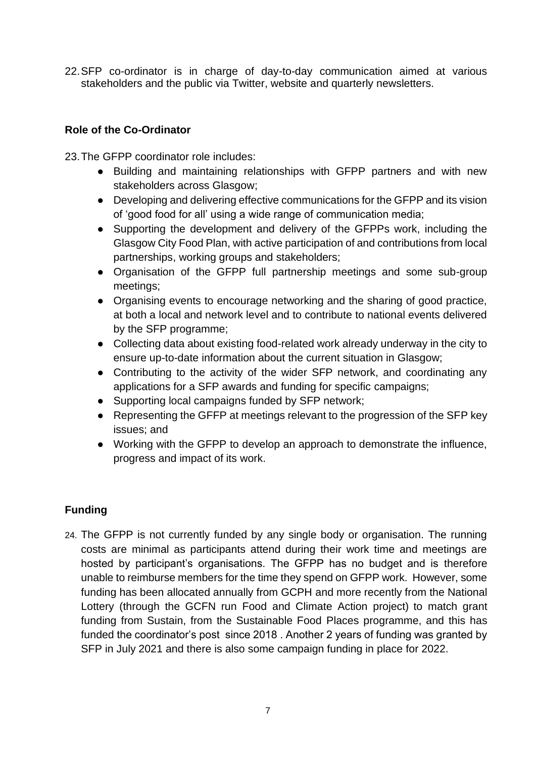22.SFP co-ordinator is in charge of day-to-day communication aimed at various stakeholders and the public via Twitter, website and quarterly newsletters.

# **Role of the Co-Ordinator**

23.The GFPP coordinator role includes:

- Building and maintaining relationships with GFPP partners and with new stakeholders across Glasgow;
- Developing and delivering effective communications for the GFPP and its vision of 'good food for all' using a wide range of communication media;
- Supporting the development and delivery of the GFPPs work, including the Glasgow City Food Plan, with active participation of and contributions from local partnerships, working groups and stakeholders;
- Organisation of the GFPP full partnership meetings and some sub-group meetings;
- Organising events to encourage networking and the sharing of good practice, at both a local and network level and to contribute to national events delivered by the SFP programme;
- Collecting data about existing food-related work already underway in the city to ensure up-to-date information about the current situation in Glasgow;
- Contributing to the activity of the wider SFP network, and coordinating any applications for a SFP awards and funding for specific campaigns;
- Supporting local campaigns funded by SFP network;
- Representing the GFFP at meetings relevant to the progression of the SFP key issues; and
- Working with the GFPP to develop an approach to demonstrate the influence, progress and impact of its work.

# **Funding**

24. The GFPP is not currently funded by any single body or organisation. The running costs are minimal as participants attend during their work time and meetings are hosted by participant's organisations. The GFPP has no budget and is therefore unable to reimburse members for the time they spend on GFPP work. However, some funding has been allocated annually from GCPH and more recently from the National Lottery (through the GCFN run Food and Climate Action project) to match grant funding from Sustain, from the Sustainable Food Places programme, and this has funded the coordinator's post since 2018 . Another 2 years of funding was granted by SFP in July 2021 and there is also some campaign funding in place for 2022.